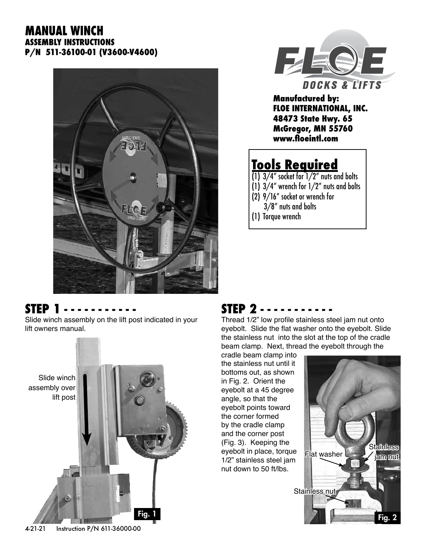#### **MANUAL WINCH ASSEMBLY INSTRUCTIONS P/N 511-36100-01 (V3600-V4600)**





**Manufactured by: FLOE INTERNATIONAL, INC. 48473 State Hwy. 65 McGregor, MN 55760 www.floeintl.com**

## **Tools Required**

 $(1)$  3/4" socket for  $1/2$ " nuts and bolts (1) 3/4" wrench for 1/2" nuts and bolts (2) 9/16" socket or wrench for 3/8" nuts and bolts (1) Torque wrench

#### **STEP 1**

Slide winch assembly on the lift post indicated in your lift owners manual.



### **STEP 2 - - - - - - - - - - -**

Thread 1/2" low profile stainless steel jam nut onto eyebolt. Slide the flat washer onto the eyebolt. Slide the stainless nut into the slot at the top of the cradle beam clamp. Next, thread the eyebolt through the

cradle beam clamp into the stainless nut until it bottoms out, as shown in Fig. 2. Orient the eyebolt at a 45 degree angle, so that the eyebolt points toward the corner formed by the cradle clamp and the corner post (Fig. 3). Keeping the eyebolt in place, torque 1/2" stainless steel jam nut down to 50 ft/lbs.

**Stainless** jam nut Stainless nut Flat washer Fig. 1 Fig. 2

4-21-21 Instruction P/N 611-36000-00